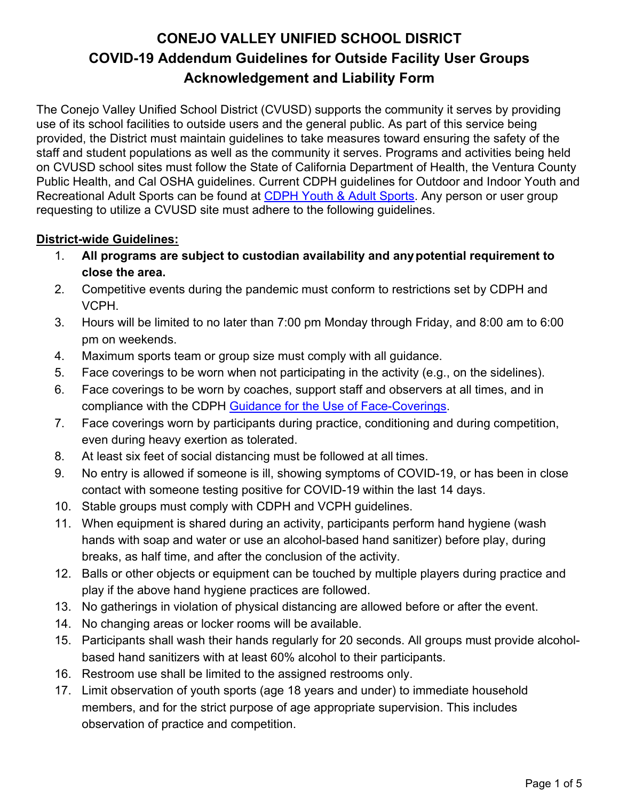# **CONEJO VALLEY UNIFIED SCHOOL DISRICT COVID-19 Addendum Guidelines for Outside Facility User Groups Acknowledgement and Liability Form**

The Conejo Valley Unified School District (CVUSD) supports the community it serves by providing use of its school facilities to outside users and the general public. As part of this service being provided, the District must maintain guidelines to take measures toward ensuring the safety of the staff and student populations as well as the community it serves. Programs and activities being held on CVUSD school sites must follow the State of California Department of Health, the Ventura County Public Health, and Cal OSHA guidelines. Current CDPH guidelines for Outdoor and Indoor Youth and Recreational Adult Sports can be found at [CDPH Youth & Adult Sports.](https://www.cdph.ca.gov/Programs/CID/DCDC/Pages/COVID-19/outdoor-indoor-recreational-sports.aspx) Any person or user group requesting to utilize a CVUSD site must adhere to the following guidelines.

#### **District-wide Guidelines:**

- 1. **All programs are subject to custodian availability and anypotential requirement to close the area.**
- 2. Competitive events during the pandemic must conform to restrictions set by CDPH and VCPH.
- 3. Hours will be limited to no later than 7:00 pm Monday through Friday, and 8:00 am to 6:00 pm on weekends.
- 4. Maximum sports team or group size must comply with all guidance.
- 5. Face coverings to be worn when not participating in the activity (e.g., on the sidelines).
- 6. Face coverings to be worn by coaches, support staff and observers at all times, and in compliance with the CDPH [Guidance for the Use](https://www.cdph.ca.gov/Programs/CID/DCDC/CDPH%20Document%20Library/COVID-19/Guidance-for-Face-Coverings_06-18-2020.pdf) of Face-Coverings.
- 7. Face coverings worn by participants during practice, conditioning and during competition, even during heavy exertion as tolerated.
- 8. At least six feet of social distancing must be followed at all times.
- 9. No entry is allowed if someone is ill, showing symptoms of COVID-19, or has been in close contact with someone testing positive for COVID-19 within the last 14 days.
- 10. Stable groups must comply with CDPH and VCPH guidelines.
- 11. When equipment is shared during an activity, participants perform hand hygiene (wash hands with soap and water or use an alcohol-based hand sanitizer) before play, during breaks, as half time, and after the conclusion of the activity.
- 12. Balls or other objects or equipment can be touched by multiple players during practice and play if the above hand hygiene practices are followed.
- 13. No gatherings in violation of physical distancing are allowed before or after the event.
- 14. No changing areas or locker rooms will be available.
- 15. Participants shall wash their hands regularly for 20 seconds. All groups must provide alcoholbased hand sanitizers with at least 60% alcohol to their participants.
- 16. Restroom use shall be limited to the assigned restrooms only.
- 17. Limit observation of youth sports (age 18 years and under) to immediate household members, and for the strict purpose of age appropriate supervision. This includes observation of practice and competition.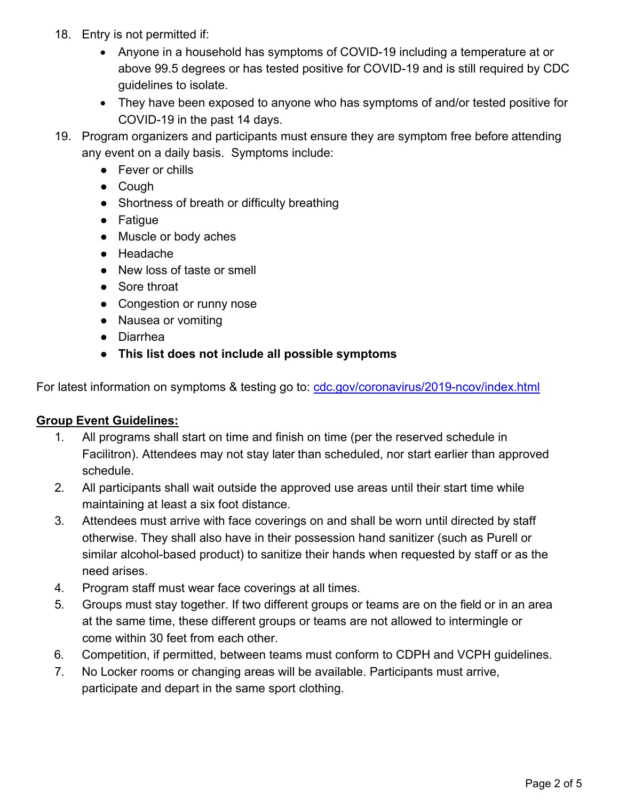- 18. Entry is not permitted if:
	- Anyone in a household has symptoms of COVID-19 including a temperature at or above 99.5 degrees or has tested positive for COVID-19 and is still required by CDC guidelines to isolate.
	- They have been exposed to anyone who has symptoms of and/or tested positive for COVID-19 in the past 14 days.
- 19. Program organizers and participants must ensure they are symptom free before attending any event on a daily basis. Symptoms include:
	- Fever or chills
	- Cough
	- Shortness of breath or difficulty breathing
	- Fatigue
	- Muscle or body aches
	- Headache
	- New loss of taste or smell
	- Sore throat
	- Congestion or runny nose
	- Nausea or vomiting
	- Diarrhea
	- **● This list does not include all possible symptoms**

For latest information on symptoms & testing go to: [cdc.gov/coronavirus/2019-ncov/index.html](https://www.cdc.gov/coronavirus/2019-ncov/index.html)

#### **Group Event Guidelines:**

- 1. All programs shall start on time and finish on time (per the reserved schedule in Facilitron). Attendees may not stay later than scheduled, nor start earlier than approved schedule.
- 2. All participants shall wait outside the approved use areas until their start time while maintaining at least a six foot distance.
- 3. Attendees must arrive with face coverings on and shall be worn until directed by staff otherwise. They shall also have in their possession hand sanitizer (such as Purell or similar alcohol-based product) to sanitize their hands when requested by staff or as the need arises.
- 4. Program staff must wear face coverings at all times.
- 5. Groups must stay together. If two different groups or teams are on the field or in an area at the same time, these different groups or teams are not allowed to intermingle or come within 30 feet from each other.
- 6. Competition, if permitted, between teams must conform to CDPH and VCPH guidelines.
- 7. No Locker rooms or changing areas will be available. Participants must arrive, participate and depart in the same sport clothing.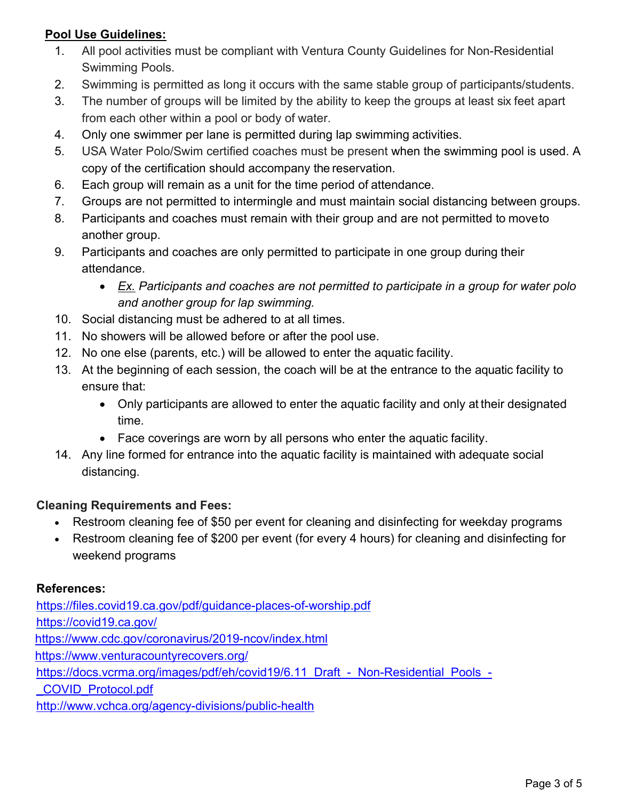### **Pool Use Guidelines:**

- 1. All pool activities must be compliant with Ventura County Guidelines for Non-Residential Swimming Pools.
- 2. Swimming is permitted as long it occurs with the same stable group of participants/students.
- 3. The number of groups will be limited by the ability to keep the groups at least six feet apart from each other within a pool or body of water.
- 4. Only one swimmer per lane is permitted during lap swimming activities.
- 5. USA Water Polo/Swim certified coaches must be present when the swimming pool is used. A copy of the certification should accompany the reservation.
- 6. Each group will remain as a unit for the time period of attendance.
- 7. Groups are not permitted to intermingle and must maintain social distancing between groups.
- 8. Participants and coaches must remain with their group and are not permitted to moveto another group.
- 9. Participants and coaches are only permitted to participate in one group during their attendance.
	- *Ex. Participants and coaches are not permitted to participate in a group for water polo and another group for lap swimming.*
- 10. Social distancing must be adhered to at all times.
- 11. No showers will be allowed before or after the pool use.
- 12. No one else (parents, etc.) will be allowed to enter the aquatic facility.
- 13. At the beginning of each session, the coach will be at the entrance to the aquatic facility to ensure that:
	- Only participants are allowed to enter the aquatic facility and only at their designated time.
	- Face coverings are worn by all persons who enter the aquatic facility.
- 14. Any line formed for entrance into the aquatic facility is maintained with adequate social distancing.

#### **Cleaning Requirements and Fees:**

- Restroom cleaning fee of \$50 per event for cleaning and disinfecting for weekday programs
- Restroom cleaning fee of \$200 per event (for every 4 hours) for cleaning and disinfecting for weekend programs

#### **References:**

<https://files.covid19.ca.gov/pdf/guidance-places-of-worship.pdf> <https://covid19.ca.gov/> <https://www.cdc.gov/coronavirus/2019-ncov/index.html> <https://www.venturacountyrecovers.org/> [https://docs.vcrma.org/images/pdf/eh/covid19/6.11\\_Draft\\_-\\_Non-Residential\\_Pools\\_-](https://docs.vcrma.org/images/pdf/eh/covid19/6.11_Draft_-_Non-Residential_Pools_-_COVID_Protocol.pdf) [\\_COVID\\_Protocol.pdf](https://docs.vcrma.org/images/pdf/eh/covid19/6.11_Draft_-_Non-Residential_Pools_-_COVID_Protocol.pdf) <http://www.vchca.org/agency-divisions/public-health>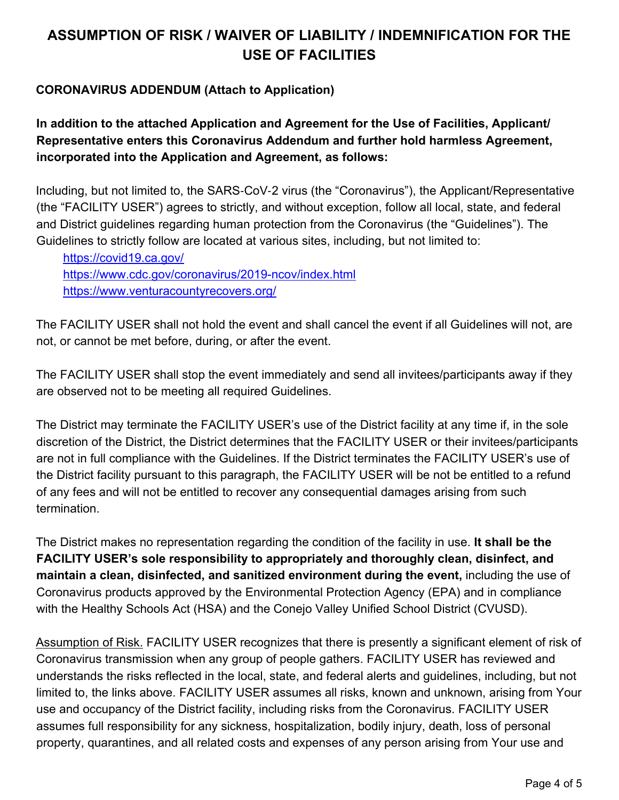# **ASSUMPTION OF RISK / WAIVER OF LIABILITY / INDEMNIFICATION FOR THE USE OF FACILITIES**

### **CORONAVIRUS ADDENDUM (Attach to Application)**

**In addition to the attached Application and Agreement for the Use of Facilities, Applicant/ Representative enters this Coronavirus Addendum and further hold harmless Agreement, incorporated into the Application and Agreement, as follows:**

Including, but not limited to, the SARS‑CoV‑2 virus (the "Coronavirus"), the Applicant/Representative (the "FACILITY USER") agrees to strictly, and without exception, follow all local, state, and federal and District guidelines regarding human protection from the Coronavirus (the "Guidelines"). The Guidelines to strictly follow are located at various sites, including, but not limited to:

<https://covid19.ca.gov/> <https://www.cdc.gov/coronavirus/2019-ncov/index.html> <https://www.venturacountyrecovers.org/>

The FACILITY USER shall not hold the event and shall cancel the event if all Guidelines will not, are not, or cannot be met before, during, or after the event.

The FACILITY USER shall stop the event immediately and send all invitees/participants away if they are observed not to be meeting all required Guidelines.

The District may terminate the FACILITY USER's use of the District facility at any time if, in the sole discretion of the District, the District determines that the FACILITY USER or their invitees/participants are not in full compliance with the Guidelines. If the District terminates the FACILITY USER's use of the District facility pursuant to this paragraph, the FACILITY USER will be not be entitled to a refund of any fees and will not be entitled to recover any consequential damages arising from such termination.

The District makes no representation regarding the condition of the facility in use. **It shall be the FACILITY USER's sole responsibility to appropriately and thoroughly clean, disinfect, and maintain a clean, disinfected, and sanitized environment during the event,** including the use of Coronavirus products approved by the Environmental Protection Agency (EPA) and in compliance with the Healthy Schools Act (HSA) and the Conejo Valley Unified School District (CVUSD).

Assumption of Risk. FACILITY USER recognizes that there is presently a significant element of risk of Coronavirus transmission when any group of people gathers. FACILITY USER has reviewed and understands the risks reflected in the local, state, and federal alerts and guidelines, including, but not limited to, the links above. FACILITY USER assumes all risks, known and unknown, arising from Your use and occupancy of the District facility, including risks from the Coronavirus. FACILITY USER assumes full responsibility for any sickness, hospitalization, bodily injury, death, loss of personal property, quarantines, and all related costs and expenses of any person arising from Your use and